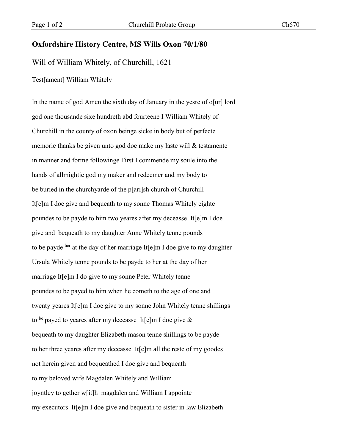## **Oxfordshire History Centre, MS Wills Oxon 70/1/80**

Will of William Whitely, of Churchill, 1621

Test[ament] William Whitely

In the name of god Amen the sixth day of January in the yesre of o[ur] lord god one thousande sixe hundreth abd fourteene I William Whitely of Churchill in the county of oxon beinge sicke in body but of perfecte memorie thanks be given unto god doe make my laste will & testamente in manner and forme followinge First I commende my soule into the hands of allmightie god my maker and redeemer and my body to be buried in the churchyarde of the p[ari]sh church of Churchill It[e]m I doe give and bequeath to my sonne Thomas Whitely eighte poundes to be payde to him two yeares after my deceasse It[e]m I doe give and bequeath to my daughter Anne Whitely tenne pounds to be payde her at the day of her marriage It[e]m I doe give to my daughter Ursula Whitely tenne pounds to be payde to her at the day of her marriage It[e]m I do give to my sonne Peter Whitely tenne poundes to be payed to him when he cometh to the age of one and twenty yeares It[e]m I doe give to my sonne John Whitely tenne shillings to be payed to yeares after my deceasse It[e]m I doe give  $\&$ bequeath to my daughter Elizabeth mason tenne shillings to be payde to her three yeares after my deceasse It[e]m all the reste of my goodes not herein given and bequeathed I doe give and bequeath to my beloved wife Magdalen Whitely and William joyntley to gether w[it]h magdalen and William I appointe my executors It[e]m I doe give and bequeath to sister in law Elizabeth